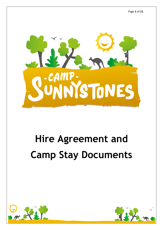

# **Hire Agreement and Camp Stay Documents**



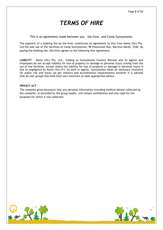## *TERMS OF HIRE*

This is an agreement made between you – the hirer, and Camp Sunnystones.

The payment of a booking fee by the hirer constitutes an agreement to hire from Kama (Vic) Pty. Ltd the sole use of the facilities at Camp Sunnystones, 98 Possumtail Run, Bacchus Marsh, 3340. By paying the booking fee, the hirer agrees to the following Hire Agreement.

**LIABILITY** – Kama (Vic) Pty. Ltd., trading as Sunnystones Country Retreat and its agents and employees do not accept liability for loss of property or damage or personal injury arising from the use of the facilities, except where the liability for loss of property or damage or personal injury is due to negligence by Kama (Vic) P/L its staff or agents. Sunnystones holds all necessary insurance for public risk and injury (as per industry and accreditation requirements) however it is advised that all user groups also hold their own insurance or seek appropriate advice.

#### **PRIVACY ACT**

The campsite gives assurance that any personal information including medical details collected by the campsite, or provided by the group leader, will remain confidential and only used for the purposes for which it was collected.



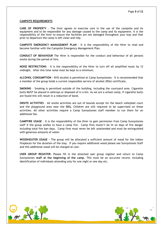#### **CAMPSITE REQUIREMENTS**

**CARE OF PROPERTY** - The hirer agrees to exercise care in the use of the campsite and its equipment and to be responsible for any damage caused to the camp and its equipment. It is the responsibility of the hirer to ensure the facilities are not damaged throughout your stay and that prior to departure the camp is left clean and tidy.

**CAMPSITE EMERGENCY MANAGEMENT PLAN** – It is the responsibility of the Hirer to read and become familiar with the Campsite Emergency Management Plan.

**CONDUCT OF BEHAVIOUR** The Hirer is responsible for the conduct and behaviour of all persons onsite during the period of hire.

**NOISE RESTRICTIONS** – It is the responsibility of the Hirer to turn off all amplified music by 12 midnight. After this time noise must be kept to a minimum.

**ALCOHOL CONSUMPTION –** BYO alcohol is permitted at Camp Sunnystones. It is recommended that a member of the group holds a current responsible service of alcohol (RSA) certificate.

**SMOKING** – Smoking is permitted outside of the building, including the courtyard area. Cigarette butts MUST be placed in ashtrays or disposed of in a bin. As we are a school camp, if cigarette butts are found this will result in a reduction of bond.

**ONSITE ACTIVITIES** – All onsite activities are out of bounds except for the beach volleyball court and the playground area near the BBQ. Children are still required to be supervised on these activities. All other activities require a Camp Sunnystones staff member to run them for an additional fee.

**CAMPFIRE USAGE** – It is the responsibility of the Hirer to gain permission from Camp Sunnystones staff if the group wishes to have a camp fire. Camp fires mustn't be lit on days of fire danger including total fire ban days. Camp fires must never be left unattended and must be extinguished with generous amounts of water.

**WOODHEATER USAGE –** The group will be allocated a sufficient amount of wood for the indoor fireplaces for the duration of the stay. If you require additional wood please see Sunnystones Staff and this additional wood will be charged at cost.

**USER GROUP REGISTER**- Please fill in the attached user group register and return to Camp Sunnystones **staff at the beginning of the camp.** This must be an accurate record, including identification of individuals attending only for one night or one day etc.



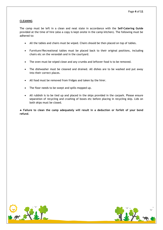#### **CLEANING**

The camp must be left in a clean and neat state in accordance with the **Self-Catering Guide** provided at the time of hire (also a copy is kept onsite in the camp kitchen). The following must be adhered to:

- All the tables and chairs must be wiped. Chairs should be then placed on top of tables.
- Furniture/Recreational tables must be placed back to their original positions, including chairs etc on the verandah and in the courtyard.
- The oven must be wiped clean and any crumbs and leftover food is to be removed.
- The dishwasher must be cleaned and drained. All dishes are to be washed and put away into their correct places.
- All food must be removed from fridges and taken by the hirer.
- The floor needs to be swept and spills mopped up.
- All rubbish is to be tied up and placed in the skips provided in the carpark. Please ensure separation of recycling and crushing of boxes etc before placing in recycling skip. Lids on both skips must be closed.

 **Failure to clean the camp adequately will result in a deduction or forfeit of your bond refund**.



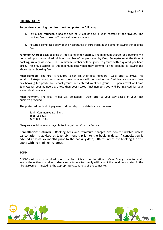#### **PRICING POLICY**

#### **To confirm a booking the hirer must complete the following:**

- 1. Pay a non-refundable booking fee of \$1500 (inc GST) upon receipt of the invoice. The booking fee is taken off the final invoice amount.
- 2. Return a completed copy of the Acceptance of Hire Form at the time of paying the booking fee.

**Minimum Charge**: Each booking attracts a minimum charge. The minimum charge for a booking will be based upon the required minimum number of people stated by Camp Sunnystones at the time of booking, usually via email. This minimum number will be given to groups with a quoted per head price. The group agrees to this minimum cost when they commit to the booking by paying the above stated booking fee.

**Final Numbers:** The hirer is required to confirm their final numbers 1 week prior to arrival, via email to kate@sunnystones.com.au; these numbers will be used as the final invoice amount (less any booking fee paid). For school groups and catered weekend groups, if upon arrival at Camp Sunnystones your numbers are less than your stated final numbers you will be invoiced for your stated final numbers.

**Final Payment:** The final invoice will be issued 1 week prior to your stay based on your final numbers provided.

The preferred method of payment is direct deposit - details are as follows:

Bank: Commonwealth Bank BSB: 063 529 Acc: 1033 7066

Cheques should be made payable to Sunnystones Country Retreat.

**Cancellations/Refunds** – Booking fees and minimum charges are non-refundable unless cancellation is advised at least six months prior to the booking date. If cancellation is advised at least six months prior to the booking date, 50% refund of the booking fee will apply with no minimum charges.

#### **BOND**

A \$500 cash bond is required prior to arrival. It is at the discretion of Camp Sunnystones to retain any or the entire bond due to damages or failure to comply with any of the conditions stated in the hire agreement, including the appropriate cleanliness of the campsite.



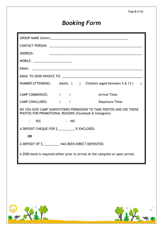## *Booking Form*

| <b>ADDRESS:</b>                                                                                                               |  |  |  |  |  |  |  |  |  |
|-------------------------------------------------------------------------------------------------------------------------------|--|--|--|--|--|--|--|--|--|
| MOBILE: ________________________                                                                                              |  |  |  |  |  |  |  |  |  |
|                                                                                                                               |  |  |  |  |  |  |  |  |  |
|                                                                                                                               |  |  |  |  |  |  |  |  |  |
| NUMBER ATTENDING: Adults () Children (aged between 5 & 13 (<br>$\lambda$                                                      |  |  |  |  |  |  |  |  |  |
| CAMP COMMENCES: / /<br><b>Arrival Time:</b>                                                                                   |  |  |  |  |  |  |  |  |  |
| CAMP CONCLUDES: / /<br>Departure Time:                                                                                        |  |  |  |  |  |  |  |  |  |
| DO YOU GIVE CAMP SUNNYSTONES PERMISSION TO TAKE PHOTOS AND USE THOSE<br>PHOTOS FOR PROMOTIONAL REASONS (Facebook & Instagram) |  |  |  |  |  |  |  |  |  |
| $\Box$ YES<br>$\Box$ NO                                                                                                       |  |  |  |  |  |  |  |  |  |
| A DEPOSIT CHEQUE FOR \$______________ IS ENCLOSED.                                                                            |  |  |  |  |  |  |  |  |  |
| <b>OR</b>                                                                                                                     |  |  |  |  |  |  |  |  |  |
| A DEPOSIT OF \$____________ HAS BEEN DIRECT DEPOSITED.                                                                        |  |  |  |  |  |  |  |  |  |
| A \$500 bond is required either prior to arrival at the campsite or upon arrival.                                             |  |  |  |  |  |  |  |  |  |



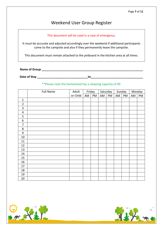### Weekend User Group Register

#### This document will be used in a case of emergency.

It must be accurate and adjusted accordingly over the weekend if additional participants come to the campsite and also if they permanently leave the campsite.

This document must remain attached to the pinboard in the kitchen area at all times.

**Name of Group Name is a strategied by a strategied by**  $\mathbf{C}$ 

**Date of Stay \_\_\_\_\_\_\_\_\_\_\_\_\_\_\_\_\_\_\_\_\_\_\_\_\_\_\_\_\_\_\_to\_\_\_\_\_\_\_\_\_\_\_\_\_\_\_\_\_\_\_\_\_\_\_\_\_\_\_\_\_\_\_\_**

#### \*\*Please note the homestead has a sleeping capacity of 90.

|                  | <b>Full Name</b> | Adult    |    | Friday | Saturday |    | Sunday |    | Monday |    |
|------------------|------------------|----------|----|--------|----------|----|--------|----|--------|----|
|                  |                  | or Child | AM | PM     | AM       | PM | AM     | PM | AM     | PM |
| $\mathbf{1}$     |                  |          |    |        |          |    |        |    |        |    |
| $\overline{2}$   |                  |          |    |        |          |    |        |    |        |    |
| $\overline{3}$   |                  |          |    |        |          |    |        |    |        |    |
| $\sqrt{4}$       |                  |          |    |        |          |    |        |    |        |    |
| 5                |                  |          |    |        |          |    |        |    |        |    |
| 6                |                  |          |    |        |          |    |        |    |        |    |
| 7                |                  |          |    |        |          |    |        |    |        |    |
| 8                |                  |          |    |        |          |    |        |    |        |    |
| $\boldsymbol{9}$ |                  |          |    |        |          |    |        |    |        |    |
| $10\,$           |                  |          |    |        |          |    |        |    |        |    |
| 11               |                  |          |    |        |          |    |        |    |        |    |
| $12\,$           |                  |          |    |        |          |    |        |    |        |    |
| 13               |                  |          |    |        |          |    |        |    |        |    |
| 14               |                  |          |    |        |          |    |        |    |        |    |
| 15               |                  |          |    |        |          |    |        |    |        |    |
| $16\,$           |                  |          |    |        |          |    |        |    |        |    |
| $17\,$           |                  |          |    |        |          |    |        |    |        |    |
| 18               |                  |          |    |        |          |    |        |    |        |    |
| 19               |                  |          |    |        |          |    |        |    |        |    |
| 20               |                  |          |    |        |          |    |        |    |        |    |



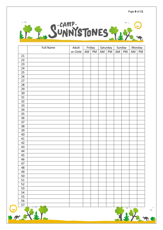

|                 | <b>Full Name</b> | Adult    |    | Friday |    | Saturday |    | Sunday | Monday |    |
|-----------------|------------------|----------|----|--------|----|----------|----|--------|--------|----|
|                 |                  | or Child | AM | PM     | AM | PM       | AM | PM     | AM     | PM |
| 21              |                  |          |    |        |    |          |    |        |        |    |
| 22              |                  |          |    |        |    |          |    |        |        |    |
| 23              |                  |          |    |        |    |          |    |        |        |    |
| 24              |                  |          |    |        |    |          |    |        |        |    |
| 25              |                  |          |    |        |    |          |    |        |        |    |
| 26              |                  |          |    |        |    |          |    |        |        |    |
| 27              |                  |          |    |        |    |          |    |        |        |    |
| 28              |                  |          |    |        |    |          |    |        |        |    |
| 29              |                  |          |    |        |    |          |    |        |        |    |
| 30 <sub>o</sub> |                  |          |    |        |    |          |    |        |        |    |
| 31              |                  |          |    |        |    |          |    |        |        |    |
| 32              |                  |          |    |        |    |          |    |        |        |    |
| 33              |                  |          |    |        |    |          |    |        |        |    |
| 34              |                  |          |    |        |    |          |    |        |        |    |
| 35              |                  |          |    |        |    |          |    |        |        |    |
| 36              |                  |          |    |        |    |          |    |        |        |    |
| 37              |                  |          |    |        |    |          |    |        |        |    |
| 38              |                  |          |    |        |    |          |    |        |        |    |
| 39              |                  |          |    |        |    |          |    |        |        |    |
| 40              |                  |          |    |        |    |          |    |        |        |    |
| 41              |                  |          |    |        |    |          |    |        |        |    |
| 42              |                  |          |    |        |    |          |    |        |        |    |
| 43              |                  |          |    |        |    |          |    |        |        |    |
| 44              |                  |          |    |        |    |          |    |        |        |    |
| 45              |                  |          |    |        |    |          |    |        |        |    |
| 46              |                  |          |    |        |    |          |    |        |        |    |
| 47              |                  |          |    |        |    |          |    |        |        |    |
| 48              |                  |          |    |        |    |          |    |        |        |    |
| 49              |                  |          |    |        |    |          |    |        |        |    |
| 50              |                  |          |    |        |    |          |    |        |        |    |
| 51              |                  |          |    |        |    |          |    |        |        |    |
| 52              |                  |          |    |        |    |          |    |        |        |    |
| 53              |                  |          |    |        |    |          |    |        |        |    |
| 54              |                  |          |    |        |    |          |    |        |        |    |
| 55              |                  |          |    |        |    |          |    |        |        |    |
| 56              |                  |          |    |        |    |          |    |        |        |    |
| 57              |                  |          |    |        |    |          |    |        |        |    |
|                 |                  |          |    |        |    |          |    |        |        |    |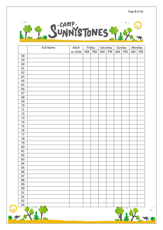

|         | <b>Full Name</b> | Adult    |    | Friday |    | Saturday |    | Sunday |    | Monday |
|---------|------------------|----------|----|--------|----|----------|----|--------|----|--------|
|         |                  | or Child | AM | PM     | AM | PM       | AM | PM     | AM | PM     |
| 58      |                  |          |    |        |    |          |    |        |    |        |
| 59      |                  |          |    |        |    |          |    |        |    |        |
| 60      |                  |          |    |        |    |          |    |        |    |        |
| 61      |                  |          |    |        |    |          |    |        |    |        |
| 62      |                  |          |    |        |    |          |    |        |    |        |
| 63      |                  |          |    |        |    |          |    |        |    |        |
| 64      |                  |          |    |        |    |          |    |        |    |        |
| 65      |                  |          |    |        |    |          |    |        |    |        |
| 66      |                  |          |    |        |    |          |    |        |    |        |
| 67      |                  |          |    |        |    |          |    |        |    |        |
| 68      |                  |          |    |        |    |          |    |        |    |        |
| 69      |                  |          |    |        |    |          |    |        |    |        |
| $70\,$  |                  |          |    |        |    |          |    |        |    |        |
| $71\,$  |                  |          |    |        |    |          |    |        |    |        |
| $72\,$  |                  |          |    |        |    |          |    |        |    |        |
| 73      |                  |          |    |        |    |          |    |        |    |        |
| 74      |                  |          |    |        |    |          |    |        |    |        |
| 75      |                  |          |    |        |    |          |    |        |    |        |
| 76      |                  |          |    |        |    |          |    |        |    |        |
| $77 \,$ |                  |          |    |        |    |          |    |        |    |        |
| 78      |                  |          |    |        |    |          |    |        |    |        |
| 79      |                  |          |    |        |    |          |    |        |    |        |
| $80\,$  |                  |          |    |        |    |          |    |        |    |        |
| 81      |                  |          |    |        |    |          |    |        |    |        |
| 82      |                  |          |    |        |    |          |    |        |    |        |
| 83      |                  |          |    |        |    |          |    |        |    |        |
| 84      |                  |          |    |        |    |          |    |        |    |        |
| 85      |                  |          |    |        |    |          |    |        |    |        |
| 86      |                  |          |    |        |    |          |    |        |    |        |
| 87      |                  |          |    |        |    |          |    |        |    |        |
| 88      |                  |          |    |        |    |          |    |        |    |        |
| 89      |                  |          |    |        |    |          |    |        |    |        |
| 90      |                  |          |    |        |    |          |    |        |    |        |
| 91      |                  |          |    |        |    |          |    |        |    |        |
| 92      |                  |          |    |        |    |          |    |        |    |        |
| 92      |                  |          |    |        |    |          |    |        |    |        |
| 93      |                  |          |    |        |    |          |    |        |    |        |
|         |                  |          |    |        |    |          |    |        |    |        |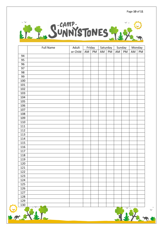

|                   | <b>Full Name</b> | Adult    |    | Friday |    | Saturday | Sunday |    |    | Monday |
|-------------------|------------------|----------|----|--------|----|----------|--------|----|----|--------|
|                   |                  | or Child | AM | PM     | AM | PM       | AM     | PM | AM | PM     |
| 94                |                  |          |    |        |    |          |        |    |    |        |
| 95                |                  |          |    |        |    |          |        |    |    |        |
| 96                |                  |          |    |        |    |          |        |    |    |        |
| 97                |                  |          |    |        |    |          |        |    |    |        |
| 98                |                  |          |    |        |    |          |        |    |    |        |
| 99                |                  |          |    |        |    |          |        |    |    |        |
| 100               |                  |          |    |        |    |          |        |    |    |        |
| 101               |                  |          |    |        |    |          |        |    |    |        |
| 102               |                  |          |    |        |    |          |        |    |    |        |
| 103               |                  |          |    |        |    |          |        |    |    |        |
| 104               |                  |          |    |        |    |          |        |    |    |        |
| 105               |                  |          |    |        |    |          |        |    |    |        |
| 106               |                  |          |    |        |    |          |        |    |    |        |
| 107               |                  |          |    |        |    |          |        |    |    |        |
| 108               |                  |          |    |        |    |          |        |    |    |        |
| 109               |                  |          |    |        |    |          |        |    |    |        |
| 110               |                  |          |    |        |    |          |        |    |    |        |
| 111               |                  |          |    |        |    |          |        |    |    |        |
| 112               |                  |          |    |        |    |          |        |    |    |        |
| 113               |                  |          |    |        |    |          |        |    |    |        |
| 114               |                  |          |    |        |    |          |        |    |    |        |
| 115               |                  |          |    |        |    |          |        |    |    |        |
| 116               |                  |          |    |        |    |          |        |    |    |        |
| 117               |                  |          |    |        |    |          |        |    |    |        |
| 118               |                  |          |    |        |    |          |        |    |    |        |
| 119               |                  |          |    |        |    |          |        |    |    |        |
| 120               |                  |          |    |        |    |          |        |    |    |        |
| $\frac{121}{121}$ |                  |          |    |        |    |          |        |    |    |        |
| 122               |                  |          |    |        |    |          |        |    |    |        |
| 123               |                  |          |    |        |    |          |        |    |    |        |
| 124               |                  |          |    |        |    |          |        |    |    |        |
| 125               |                  |          |    |        |    |          |        |    |    |        |
| 126               |                  |          |    |        |    |          |        |    |    |        |
| 127               |                  |          |    |        |    |          |        |    |    |        |
| 128               |                  |          |    |        |    |          |        |    |    |        |
| 129               |                  |          |    |        |    |          |        |    |    |        |
| 130               |                  |          |    |        |    |          |        |    |    |        |
|                   |                  |          |    |        |    |          |        |    |    |        |